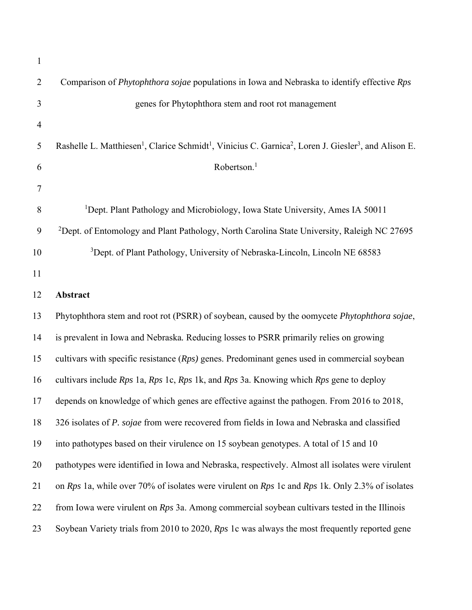| 1              |                                                                                                                                                       |  |  |
|----------------|-------------------------------------------------------------------------------------------------------------------------------------------------------|--|--|
| $\overline{2}$ | Comparison of Phytophthora sojae populations in Iowa and Nebraska to identify effective Rps                                                           |  |  |
| 3              | genes for Phytophthora stem and root rot management                                                                                                   |  |  |
| $\overline{4}$ |                                                                                                                                                       |  |  |
| 5              | Rashelle L. Matthiesen <sup>1</sup> , Clarice Schmidt <sup>1</sup> , Vinicius C. Garnica <sup>2</sup> , Loren J. Giesler <sup>3</sup> , and Alison E. |  |  |
| 6              | Robertson. <sup>1</sup>                                                                                                                               |  |  |
| $\tau$         |                                                                                                                                                       |  |  |
| 8              | <sup>1</sup> Dept. Plant Pathology and Microbiology, Iowa State University, Ames IA 50011                                                             |  |  |
| 9              | <sup>2</sup> Dept. of Entomology and Plant Pathology, North Carolina State University, Raleigh NC 27695                                               |  |  |
| 10             | <sup>3</sup> Dept. of Plant Pathology, University of Nebraska-Lincoln, Lincoln NE 68583                                                               |  |  |
| 11             |                                                                                                                                                       |  |  |
| 12             | Abstract                                                                                                                                              |  |  |
| 13             | Phytophthora stem and root rot (PSRR) of soybean, caused by the oomycete Phytophthora sojae,                                                          |  |  |
| 14             | is prevalent in Iowa and Nebraska. Reducing losses to PSRR primarily relies on growing                                                                |  |  |
| 15             | cultivars with specific resistance $(Rps)$ genes. Predominant genes used in commercial soybean                                                        |  |  |
| 16             | cultivars include Rps 1a, Rps 1c, Rps 1k, and Rps 3a. Knowing which Rps gene to deploy                                                                |  |  |
| 17             | depends on knowledge of which genes are effective against the pathogen. From 2016 to 2018,                                                            |  |  |
| 18             | 326 isolates of P. sojae from were recovered from fields in Iowa and Nebraska and classified                                                          |  |  |
| 19             | into pathotypes based on their virulence on 15 soybean genotypes. A total of 15 and 10                                                                |  |  |
| 20             | pathotypes were identified in Iowa and Nebraska, respectively. Almost all isolates were virulent                                                      |  |  |
| 21             | on Rps 1a, while over 70% of isolates were virulent on Rps 1c and Rps 1k. Only 2.3% of isolates                                                       |  |  |
| 22             | from Iowa were virulent on Rps 3a. Among commercial soybean cultivars tested in the Illinois                                                          |  |  |
| 23             | Soybean Variety trials from 2010 to 2020, Rps 1c was always the most frequently reported gene                                                         |  |  |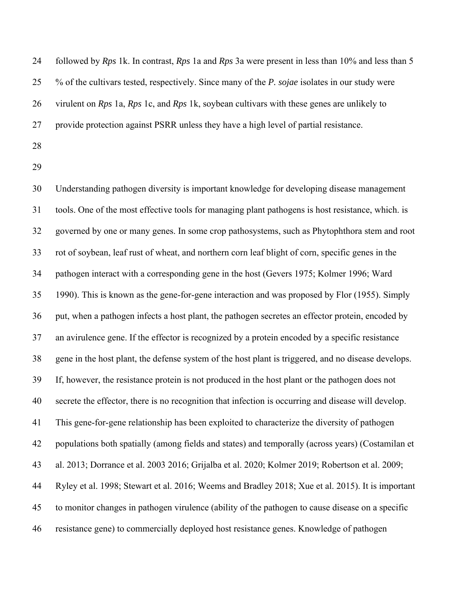| 24 | followed by $Rps$ 1k. In contrast, $Rps$ 1a and $Rps$ 3a were present in less than 10% and less than 5 |
|----|--------------------------------------------------------------------------------------------------------|
| 25 | % of the cultivars tested, respectively. Since many of the P. sojae isolates in our study were         |
| 26 | virulent on Rps 1a, Rps 1c, and Rps 1k, soybean cultivars with these genes are unlikely to             |
| 27 | provide protection against PSRR unless they have a high level of partial resistance.                   |
| 28 |                                                                                                        |
|    |                                                                                                        |

30 Understanding pathogen diversity is important knowledge for developing disease management 31 tools. One of the most effective tools for managing plant pathogens is host resistance, which. is 32 governed by one or many genes. In some crop pathosystems, such as Phytophthora stem and root 33 rot of soybean, leaf rust of wheat, and northern corn leaf blight of corn, specific genes in the 34 pathogen interact with a corresponding gene in the host (Gevers 1975; Kolmer 1996; Ward 35 1990). This is known as the gene-for-gene interaction and was proposed by Flor (1955). Simply 36 put, when a pathogen infects a host plant, the pathogen secretes an effector protein, encoded by 37 an avirulence gene. If the effector is recognized by a protein encoded by a specific resistance 38 gene in the host plant, the defense system of the host plant is triggered, and no disease develops. 39 If, however, the resistance protein is not produced in the host plant or the pathogen does not 40 secrete the effector, there is no recognition that infection is occurring and disease will develop. 41 This gene-for-gene relationship has been exploited to characterize the diversity of pathogen 42 populations both spatially (among fields and states) and temporally (across years) (Costamilan et 43 al. 2013; Dorrance et al. 2003 2016; Grijalba et al. 2020; Kolmer 2019; Robertson et al. 2009; 44 Ryley et al. 1998; Stewart et al. 2016; Weems and Bradley 2018; Xue et al. 2015). It is important 45 to monitor changes in pathogen virulence (ability of the pathogen to cause disease on a specific 46 resistance gene) to commercially deployed host resistance genes. Knowledge of pathogen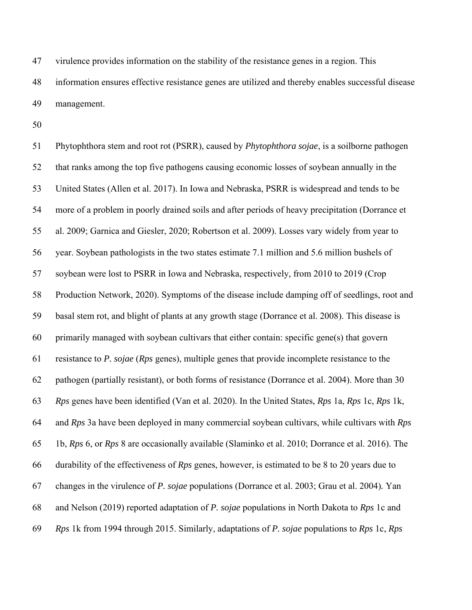47 virulence provides information on the stability of the resistance genes in a region. This 48 information ensures effective resistance genes are utilized and thereby enables successful disease 49 management.

50

51 Phytophthora stem and root rot (PSRR), caused by *Phytophthora sojae*, is a soilborne pathogen 52 that ranks among the top five pathogens causing economic losses of soybean annually in the 53 United States (Allen et al. 2017). In Iowa and Nebraska, PSRR is widespread and tends to be 54 more of a problem in poorly drained soils and after periods of heavy precipitation (Dorrance et 55 al. 2009; Garnica and Giesler, 2020; Robertson et al. 2009). Losses vary widely from year to 56 year. Soybean pathologists in the two states estimate 7.1 million and 5.6 million bushels of 57 soybean were lost to PSRR in Iowa and Nebraska, respectively, from 2010 to 2019 (Crop 58 Production Network, 2020). Symptoms of the disease include damping off of seedlings, root and 59 basal stem rot, and blight of plants at any growth stage (Dorrance et al. 2008). This disease is 60 primarily managed with soybean cultivars that either contain: specific gene(s) that govern 61 resistance to *P. sojae* (*Rps* genes), multiple genes that provide incomplete resistance to the 62 pathogen (partially resistant), or both forms of resistance (Dorrance et al. 2004). More than 30 63 *Rps* genes have been identified (Van et al. 2020). In the United States, *Rps* 1a, *Rps* 1c, *Rps* 1k, 64 and *Rps* 3a have been deployed in many commercial soybean cultivars, while cultivars with *Rps* 65 1b, *Rps* 6, or *Rps* 8 are occasionally available (Slaminko et al. 2010; Dorrance et al. 2016). The 66 durability of the effectiveness of *Rps* genes, however, is estimated to be 8 to 20 years due to 67 changes in the virulence of *P. sojae* populations (Dorrance et al. 2003; Grau et al. 2004)*.* Yan 68 and Nelson (2019) reported adaptation of *P. sojae* populations in North Dakota to *Rps* 1c and 69 *Rps* 1k from 1994 through 2015. Similarly, adaptations of *P. sojae* populations to *Rps* 1c, *Rps*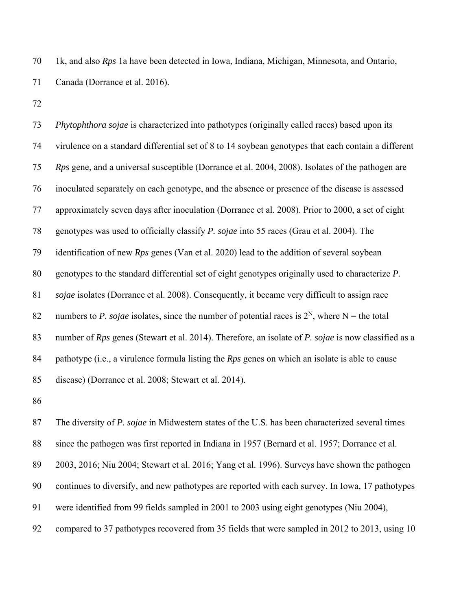70 1k, and also *Rps* 1a have been detected in Iowa, Indiana, Michigan, Minnesota, and Ontario, 71 Canada (Dorrance et al. 2016).

72

73 *Phytophthora sojae* is characterized into pathotypes (originally called races) based upon its 74 virulence on a standard differential set of 8 to 14 soybean genotypes that each contain a different 75 *Rps* gene, and a universal susceptible (Dorrance et al. 2004, 2008). Isolates of the pathogen are 76 inoculated separately on each genotype, and the absence or presence of the disease is assessed 77 approximately seven days after inoculation (Dorrance et al. 2008). Prior to 2000, a set of eight 78 genotypes was used to officially classify *P. sojae* into 55 races (Grau et al. 2004). The 79 identification of new *Rps* genes (Van et al. 2020) lead to the addition of several soybean 80 genotypes to the standard differential set of eight genotypes originally used to characterize *P.*  81 *sojae* isolates (Dorrance et al. 2008). Consequently, it became very difficult to assign race 82 numbers to *P. sojae* isolates, since the number of potential races is  $2^N$ , where N = the total 83 number of *Rps* genes (Stewart et al. 2014). Therefore, an isolate of *P. sojae* is now classified as a 84 pathotype (i.e., a virulence formula listing the *Rps* genes on which an isolate is able to cause 85 disease) (Dorrance et al. 2008; Stewart et al. 2014).

86

87 The diversity of *P. sojae* in Midwestern states of the U.S. has been characterized several times 88 since the pathogen was first reported in Indiana in 1957 (Bernard et al. 1957; Dorrance et al. 89 2003, 2016; Niu 2004; Stewart et al. 2016; Yang et al. 1996). Surveys have shown the pathogen 90 continues to diversify, and new pathotypes are reported with each survey. In Iowa, 17 pathotypes 91 were identified from 99 fields sampled in 2001 to 2003 using eight genotypes (Niu 2004), 92 compared to 37 pathotypes recovered from 35 fields that were sampled in 2012 to 2013, using 10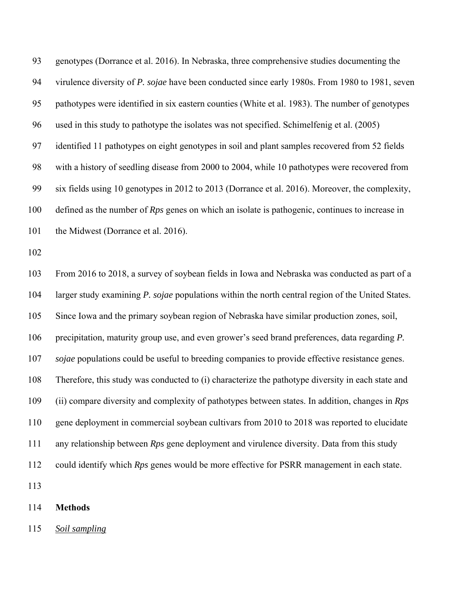93 genotypes (Dorrance et al. 2016). In Nebraska, three comprehensive studies documenting the 94 virulence diversity of *P. sojae* have been conducted since early 1980s. From 1980 to 1981, seven 95 pathotypes were identified in six eastern counties (White et al. 1983). The number of genotypes 96 used in this study to pathotype the isolates was not specified. Schimelfenig et al. (2005) 97 identified 11 pathotypes on eight genotypes in soil and plant samples recovered from 52 fields 98 with a history of seedling disease from 2000 to 2004, while 10 pathotypes were recovered from 99 six fields using 10 genotypes in 2012 to 2013 (Dorrance et al. 2016). Moreover, the complexity, 100 defined as the number of *Rps* genes on which an isolate is pathogenic, continues to increase in 101 the Midwest (Dorrance et al. 2016).

102

103 From 2016 to 2018, a survey of soybean fields in Iowa and Nebraska was conducted as part of a 104 larger study examining *P. sojae* populations within the north central region of the United States. 105 Since Iowa and the primary soybean region of Nebraska have similar production zones, soil, 106 precipitation, maturity group use, and even grower's seed brand preferences, data regarding *P.*  107 *sojae* populations could be useful to breeding companies to provide effective resistance genes. 108 Therefore, this study was conducted to (i) characterize the pathotype diversity in each state and 109 (ii) compare diversity and complexity of pathotypes between states. In addition, changes in *Rps* 110 gene deployment in commercial soybean cultivars from 2010 to 2018 was reported to elucidate 111 any relationship between *Rps* gene deployment and virulence diversity. Data from this study 112 could identify which *Rps* genes would be more effective for PSRR management in each state. 113

114 **Methods** 

115 *Soil sampling*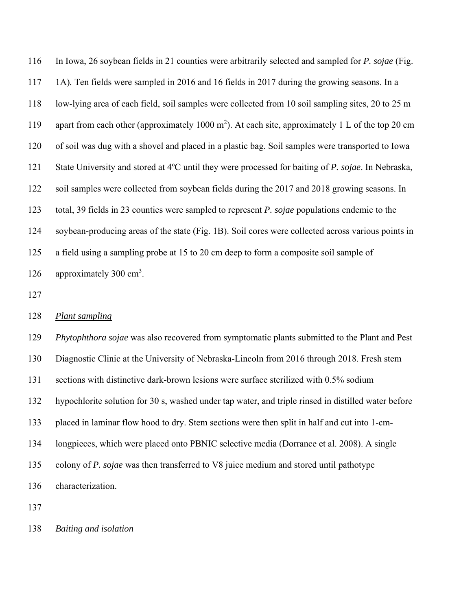116 In Iowa, 26 soybean fields in 21 counties were arbitrarily selected and sampled for *P. sojae* (Fig. 117 1A)*.* Ten fields were sampled in 2016 and 16 fields in 2017 during the growing seasons. In a 118 low-lying area of each field, soil samples were collected from 10 soil sampling sites, 20 to 25 m 119 apart from each other (approximately 1000 m<sup>2</sup>). At each site, approximately 1 L of the top 20 cm 120 of soil was dug with a shovel and placed in a plastic bag. Soil samples were transported to Iowa 121 State University and stored at 4ºC until they were processed for baiting of *P. sojae*. In Nebraska, 122 soil samples were collected from soybean fields during the 2017 and 2018 growing seasons. In 123 total, 39 fields in 23 counties were sampled to represent *P. sojae* populations endemic to the 124 soybean-producing areas of the state (Fig. 1B). Soil cores were collected across various points in 125 a field using a sampling probe at 15 to 20 cm deep to form a composite soil sample of 126 approximately 300  $\text{cm}^3$ .

127

### 128 *Plant sampling*

129 *Phytophthora sojae* was also recovered from symptomatic plants submitted to the Plant and Pest 130 Diagnostic Clinic at the University of Nebraska-Lincoln from 2016 through 2018. Fresh stem 131 sections with distinctive dark-brown lesions were surface sterilized with 0.5% sodium 132 hypochlorite solution for 30 s, washed under tap water, and triple rinsed in distilled water before 133 placed in laminar flow hood to dry. Stem sections were then split in half and cut into 1-cm-134 longpieces, which were placed onto PBNIC selective media (Dorrance et al. 2008). A single 135 colony of *P. sojae* was then transferred to V8 juice medium and stored until pathotype 136 characterization.

137

138 *Baiting and isolation*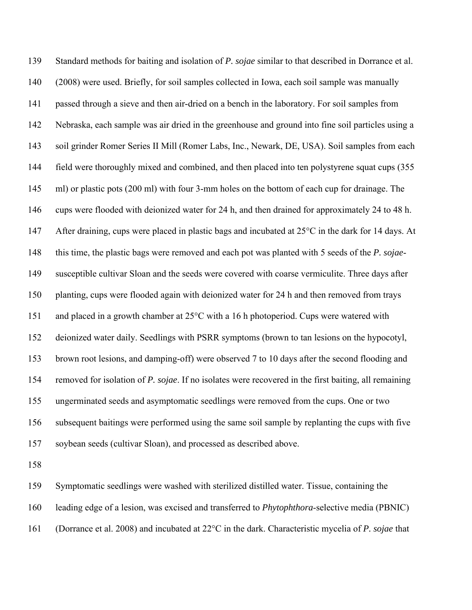139 Standard methods for baiting and isolation of *P. sojae* similar to that described in Dorrance et al. 140 (2008) were used. Briefly, for soil samples collected in Iowa, each soil sample was manually 141 passed through a sieve and then air-dried on a bench in the laboratory. For soil samples from 142 Nebraska, each sample was air dried in the greenhouse and ground into fine soil particles using a 143 soil grinder Romer Series II Mill (Romer Labs, Inc., Newark, DE, USA). Soil samples from each 144 field were thoroughly mixed and combined, and then placed into ten polystyrene squat cups (355 145 ml) or plastic pots (200 ml) with four 3-mm holes on the bottom of each cup for drainage. The 146 cups were flooded with deionized water for 24 h, and then drained for approximately 24 to 48 h. 147 After draining, cups were placed in plastic bags and incubated at 25<sup>o</sup>C in the dark for 14 days. At 148 this time, the plastic bags were removed and each pot was planted with 5 seeds of the *P. sojae*-149 susceptible cultivar Sloan and the seeds were covered with coarse vermiculite. Three days after 150 planting, cups were flooded again with deionized water for 24 h and then removed from trays 151 and placed in a growth chamber at 25°C with a 16 h photoperiod. Cups were watered with 152 deionized water daily. Seedlings with PSRR symptoms (brown to tan lesions on the hypocotyl, 153 brown root lesions, and damping-off) were observed 7 to 10 days after the second flooding and 154 removed for isolation of *P. sojae*. If no isolates were recovered in the first baiting, all remaining 155 ungerminated seeds and asymptomatic seedlings were removed from the cups. One or two 156 subsequent baitings were performed using the same soil sample by replanting the cups with five 157 soybean seeds (cultivar Sloan), and processed as described above.

158

159 Symptomatic seedlings were washed with sterilized distilled water. Tissue, containing the 160 leading edge of a lesion, was excised and transferred to *Phytophthora*-selective media (PBNIC) 161 (Dorrance et al. 2008) and incubated at 22°C in the dark. Characteristic mycelia of *P. sojae* that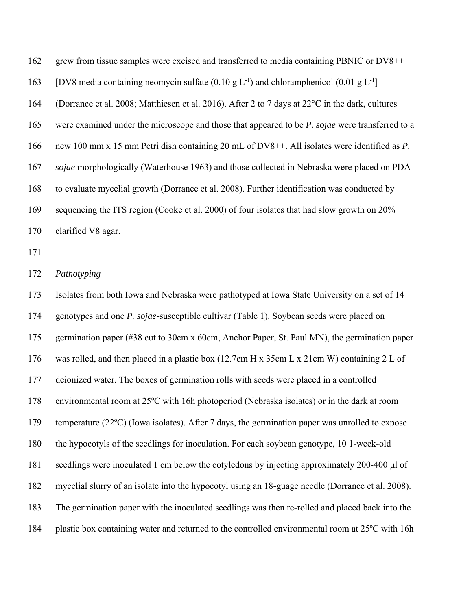162 grew from tissue samples were excised and transferred to media containing PBNIC or DV8++ 163 [DV8 media containing neomycin sulfate  $(0.10 \text{ g L}^{-1})$  and chloramphenicol  $(0.01 \text{ g L}^{-1})$ ] 164 (Dorrance et al. 2008; Matthiesen et al. 2016). After 2 to 7 days at 22°C in the dark, cultures 165 were examined under the microscope and those that appeared to be *P. sojae* were transferred to a 166 new 100 mm x 15 mm Petri dish containing 20 mL of DV8++. All isolates were identified as *P.*  167 *sojae* morphologically (Waterhouse 1963) and those collected in Nebraska were placed on PDA 168 to evaluate mycelial growth (Dorrance et al. 2008). Further identification was conducted by 169 sequencing the ITS region (Cooke et al. 2000) of four isolates that had slow growth on 20% 170 clarified V8 agar.

171

### 172 *Pathotyping*

173 Isolates from both Iowa and Nebraska were pathotyped at Iowa State University on a set of 14 174 genotypes and one *P. sojae*-susceptible cultivar (Table 1). Soybean seeds were placed on 175 germination paper (#38 cut to 30cm x 60cm, Anchor Paper, St. Paul MN), the germination paper 176 was rolled, and then placed in a plastic box (12.7cm H x 35cm L x 21cm W) containing 2 L of 177 deionized water. The boxes of germination rolls with seeds were placed in a controlled 178 environmental room at 25ºC with 16h photoperiod (Nebraska isolates) or in the dark at room 179 temperature (22ºC) (Iowa isolates). After 7 days, the germination paper was unrolled to expose 180 the hypocotyls of the seedlings for inoculation. For each soybean genotype, 10 1-week-old 181 seedlings were inoculated 1 cm below the cotyledons by injecting approximately 200-400 μl of 182 mycelial slurry of an isolate into the hypocotyl using an 18-guage needle (Dorrance et al. 2008). 183 The germination paper with the inoculated seedlings was then re-rolled and placed back into the 184 plastic box containing water and returned to the controlled environmental room at 25ºC with 16h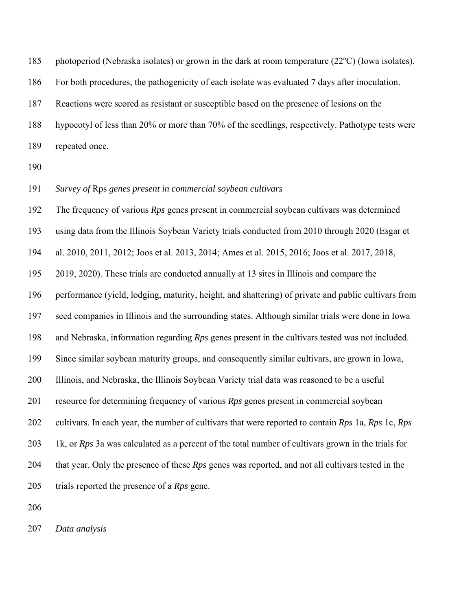185 photoperiod (Nebraska isolates) or grown in the dark at room temperature (22ºC) (Iowa isolates).

186 For both procedures, the pathogenicity of each isolate was evaluated 7 days after inoculation.

187 Reactions were scored as resistant or susceptible based on the presence of lesions on the

188 hypocotyl of less than 20% or more than 70% of the seedlings, respectively. Pathotype tests were

189 repeated once.

190

## 191 *Survey of* Rps *genes present in commercial soybean cultivars*

192 The frequency of various *Rps* genes present in commercial soybean cultivars was determined 193 using data from the Illinois Soybean Variety trials conducted from 2010 through 2020 (Esgar et 194 al. 2010, 2011, 2012; Joos et al. 2013, 2014; Ames et al. 2015, 2016; Joos et al. 2017, 2018, 195 2019, 2020). These trials are conducted annually at 13 sites in Illinois and compare the 196 performance (yield, lodging, maturity, height, and shattering) of private and public cultivars from 197 seed companies in Illinois and the surrounding states. Although similar trials were done in Iowa 198 and Nebraska, information regarding *Rps* genes present in the cultivars tested was not included. 199 Since similar soybean maturity groups, and consequently similar cultivars, are grown in Iowa, 200 Illinois, and Nebraska, the Illinois Soybean Variety trial data was reasoned to be a useful 201 resource for determining frequency of various *Rps* genes present in commercial soybean 202 cultivars. In each year, the number of cultivars that were reported to contain *Rps* 1a, *Rps* 1c, *Rps*  203 1k, or *Rps* 3a was calculated as a percent of the total number of cultivars grown in the trials for 204 that year. Only the presence of these *Rps* genes was reported, and not all cultivars tested in the 205 trials reported the presence of a *Rps* gene.

206

207 *Data analysis*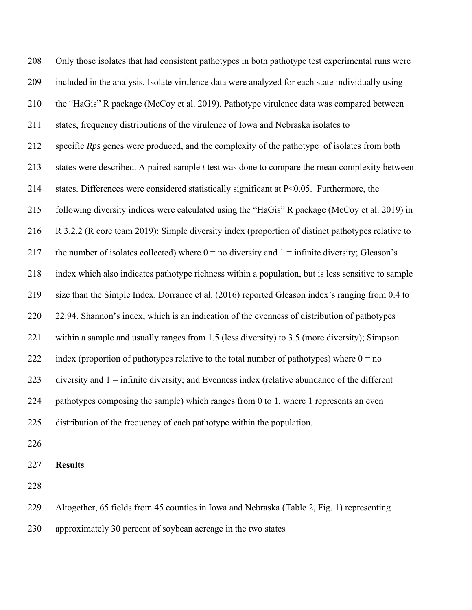208 Only those isolates that had consistent pathotypes in both pathotype test experimental runs were 209 included in the analysis. Isolate virulence data were analyzed for each state individually using 210 the "HaGis" R package (McCoy et al. 2019). Pathotype virulence data was compared between 211 states, frequency distributions of the virulence of Iowa and Nebraska isolates to 212 specific *Rps* genes were produced, and the complexity of the pathotype of isolates from both 213 states were described. A paired-sample *t* test was done to compare the mean complexity between 214 states. Differences were considered statistically significant at P<0.05. Furthermore, the 215 following diversity indices were calculated using the "HaGis" R package (McCoy et al. 2019) in 216 R 3.2.2 (R core team 2019): Simple diversity index (proportion of distinct pathotypes relative to 217 the number of isolates collected) where  $0 =$  no diversity and  $1 =$  infinite diversity; Gleason's 218 index which also indicates pathotype richness within a population, but is less sensitive to sample 219 size than the Simple Index. Dorrance et al. (2016) reported Gleason index's ranging from 0.4 to 220 22.94. Shannon's index, which is an indication of the evenness of distribution of pathotypes 221 within a sample and usually ranges from 1.5 (less diversity) to 3.5 (more diversity); Simpson 222 index (proportion of pathotypes relative to the total number of pathotypes) where  $0 = no$ 223 diversity and 1 = infinite diversity; and Evenness index (relative abundance of the different 224 pathotypes composing the sample) which ranges from 0 to 1, where 1 represents an even 225 distribution of the frequency of each pathotype within the population.

226

#### 227 **Results**

228

229 Altogether, 65 fields from 45 counties in Iowa and Nebraska (Table 2, Fig. 1) representing

230 approximately 30 percent of soybean acreage in the two states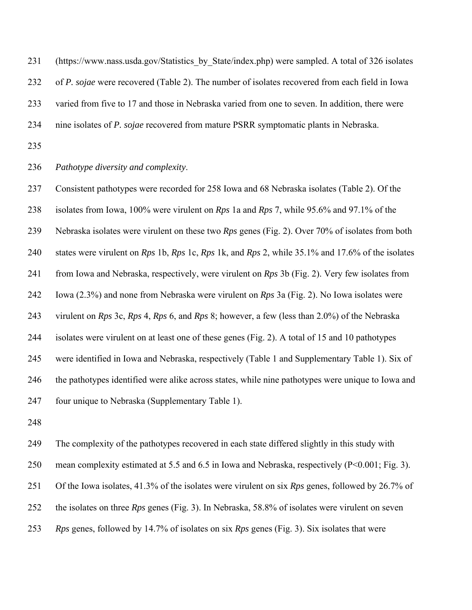231 (https://www.nass.usda.gov/Statistics by State/index.php) were sampled. A total of 326 isolates 232 of *P. sojae* were recovered (Table 2). The number of isolates recovered from each field in Iowa 233 varied from five to 17 and those in Nebraska varied from one to seven. In addition, there were 234 nine isolates of *P. sojae* recovered from mature PSRR symptomatic plants in Nebraska.

235

236 *Pathotype diversity and complexity*.

237 Consistent pathotypes were recorded for 258 Iowa and 68 Nebraska isolates (Table 2). Of the 238 isolates from Iowa, 100% were virulent on *Rps* 1a and *Rps* 7, while 95.6% and 97.1% of the 239 Nebraska isolates were virulent on these two *Rps* genes (Fig. 2). Over 70% of isolates from both 240 states were virulent on *Rps* 1b, *Rps* 1c, *Rps* 1k, and *Rps* 2, while 35.1% and 17.6% of the isolates 241 from Iowa and Nebraska, respectively, were virulent on *Rps* 3b (Fig. 2). Very few isolates from 242 Iowa (2.3%) and none from Nebraska were virulent on *Rps* 3a (Fig. 2). No Iowa isolates were 243 virulent on *Rps* 3c, *Rps* 4, *Rps* 6, and *Rps* 8; however, a few (less than 2.0%) of the Nebraska 244 isolates were virulent on at least one of these genes (Fig. 2). A total of 15 and 10 pathotypes 245 were identified in Iowa and Nebraska, respectively (Table 1 and Supplementary Table 1). Six of 246 the pathotypes identified were alike across states, while nine pathotypes were unique to Iowa and 247 four unique to Nebraska (Supplementary Table 1).

248

249 The complexity of the pathotypes recovered in each state differed slightly in this study with 250 mean complexity estimated at 5.5 and 6.5 in Iowa and Nebraska, respectively (P<0.001; Fig. 3). 251 Of the Iowa isolates, 41.3% of the isolates were virulent on six *Rps* genes, followed by 26.7% of 252 the isolates on three *Rps* genes (Fig. 3). In Nebraska, 58.8% of isolates were virulent on seven 253 *Rps* genes, followed by 14.7% of isolates on six *Rps* genes (Fig. 3). Six isolates that were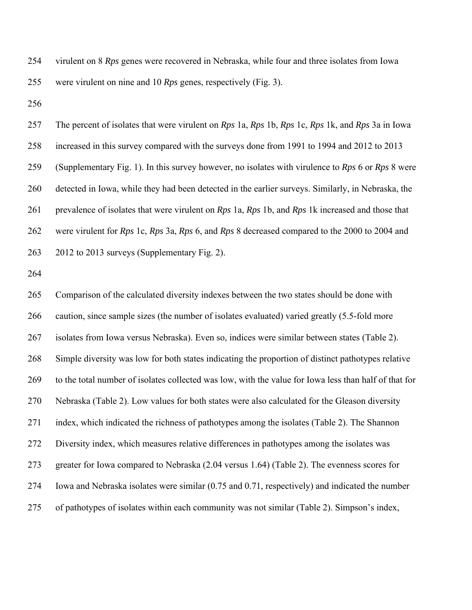254 virulent on 8 *Rps* genes were recovered in Nebraska, while four and three isolates from Iowa 255 were virulent on nine and 10 *Rps* genes, respectively (Fig. 3).

256

257 The percent of isolates that were virulent on *Rps* 1a, *Rps* 1b, *Rps* 1c, *Rps* 1k, and *Rps* 3a in Iowa 258 increased in this survey compared with the surveys done from 1991 to 1994 and 2012 to 2013 259 (Supplementary Fig. 1). In this survey however, no isolates with virulence to *Rps* 6 or *Rps* 8 were 260 detected in Iowa, while they had been detected in the earlier surveys. Similarly, in Nebraska, the 261 prevalence of isolates that were virulent on *Rps* 1a, *Rps* 1b, and *Rps* 1k increased and those that 262 were virulent for *Rps* 1c, *Rps* 3a, *Rps* 6, and *Rps* 8 decreased compared to the 2000 to 2004 and 263 2012 to 2013 surveys (Supplementary Fig. 2).

264

265 Comparison of the calculated diversity indexes between the two states should be done with 266 caution, since sample sizes (the number of isolates evaluated) varied greatly (5.5-fold more 267 isolates from Iowa versus Nebraska). Even so, indices were similar between states (Table 2). 268 Simple diversity was low for both states indicating the proportion of distinct pathotypes relative 269 to the total number of isolates collected was low, with the value for Iowa less than half of that for 270 Nebraska (Table 2). Low values for both states were also calculated for the Gleason diversity 271 index, which indicated the richness of pathotypes among the isolates (Table 2). The Shannon 272 Diversity index, which measures relative differences in pathotypes among the isolates was 273 greater for Iowa compared to Nebraska (2.04 versus 1.64) (Table 2). The evenness scores for 274 Iowa and Nebraska isolates were similar (0.75 and 0.71, respectively) and indicated the number 275 of pathotypes of isolates within each community was not similar (Table 2). Simpson's index,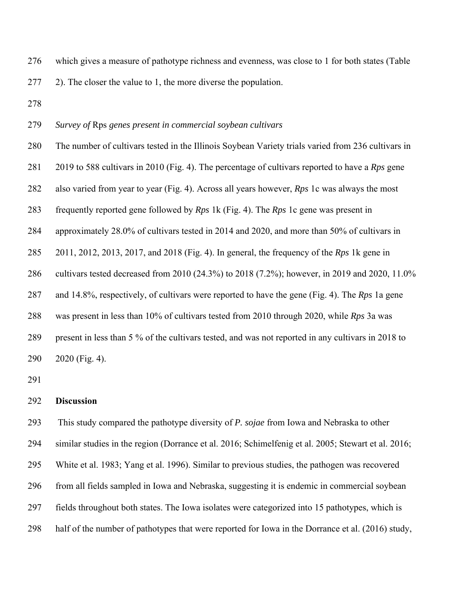276 which gives a measure of pathotype richness and evenness, was close to 1 for both states (Table

277 2). The closer the value to 1, the more diverse the population.

278

# 279 *Survey of* Rps *genes present in commercial soybean cultivars*

280 The number of cultivars tested in the Illinois Soybean Variety trials varied from 236 cultivars in 281 2019 to 588 cultivars in 2010 (Fig. 4). The percentage of cultivars reported to have a *Rps* gene 282 also varied from year to year (Fig. 4). Across all years however, *Rps* 1c was always the most 283 frequently reported gene followed by *Rps* 1k (Fig. 4). The *Rps* 1c gene was present in 284 approximately 28.0% of cultivars tested in 2014 and 2020, and more than 50% of cultivars in 285 2011, 2012, 2013, 2017, and 2018 (Fig. 4). In general, the frequency of the *Rps* 1k gene in 286 cultivars tested decreased from 2010 (24.3%) to 2018 (7.2%); however, in 2019 and 2020, 11.0% 287 and 14.8%, respectively, of cultivars were reported to have the gene (Fig. 4). The *Rps* 1a gene 288 was present in less than 10% of cultivars tested from 2010 through 2020, while *Rps* 3a was 289 present in less than 5 % of the cultivars tested, and was not reported in any cultivars in 2018 to 290 2020 (Fig. 4).

291

#### 292 **Discussion**

293 This study compared the pathotype diversity of *P. sojae* from Iowa and Nebraska to other 294 similar studies in the region (Dorrance et al. 2016; Schimelfenig et al. 2005; Stewart et al. 2016; 295 White et al. 1983; Yang et al. 1996). Similar to previous studies, the pathogen was recovered 296 from all fields sampled in Iowa and Nebraska, suggesting it is endemic in commercial soybean 297 fields throughout both states. The Iowa isolates were categorized into 15 pathotypes, which is 298 half of the number of pathotypes that were reported for Iowa in the Dorrance et al. (2016) study,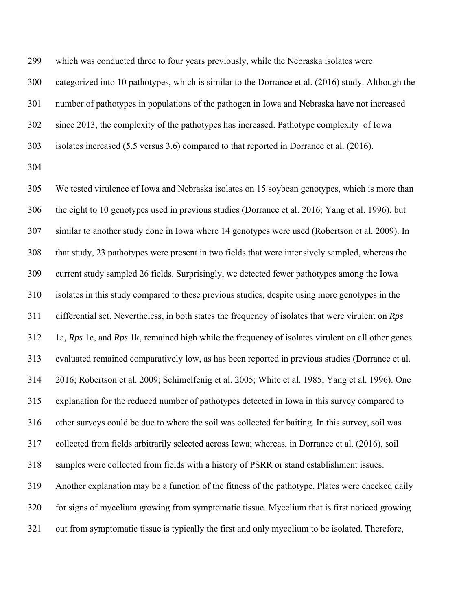299 which was conducted three to four years previously, while the Nebraska isolates were

300 categorized into 10 pathotypes, which is similar to the Dorrance et al. (2016) study. Although the

301 number of pathotypes in populations of the pathogen in Iowa and Nebraska have not increased

302 since 2013, the complexity of the pathotypes has increased. Pathotype complexity of Iowa

303 isolates increased (5.5 versus 3.6) compared to that reported in Dorrance et al. (2016).

304

305 We tested virulence of Iowa and Nebraska isolates on 15 soybean genotypes, which is more than 306 the eight to 10 genotypes used in previous studies (Dorrance et al. 2016; Yang et al. 1996), but 307 similar to another study done in Iowa where 14 genotypes were used (Robertson et al. 2009). In 308 that study, 23 pathotypes were present in two fields that were intensively sampled, whereas the 309 current study sampled 26 fields. Surprisingly, we detected fewer pathotypes among the Iowa 310 isolates in this study compared to these previous studies, despite using more genotypes in the 311 differential set. Nevertheless, in both states the frequency of isolates that were virulent on *Rps*  312 1a*, Rps* 1c, and *Rps* 1k, remained high while the frequency of isolates virulent on all other genes 313 evaluated remained comparatively low, as has been reported in previous studies (Dorrance et al. 314 2016; Robertson et al. 2009; Schimelfenig et al. 2005; White et al. 1985; Yang et al. 1996). One 315 explanation for the reduced number of pathotypes detected in Iowa in this survey compared to 316 other surveys could be due to where the soil was collected for baiting. In this survey, soil was 317 collected from fields arbitrarily selected across Iowa; whereas, in Dorrance et al. (2016), soil 318 samples were collected from fields with a history of PSRR or stand establishment issues. 319 Another explanation may be a function of the fitness of the pathotype. Plates were checked daily 320 for signs of mycelium growing from symptomatic tissue. Mycelium that is first noticed growing 321 out from symptomatic tissue is typically the first and only mycelium to be isolated. Therefore,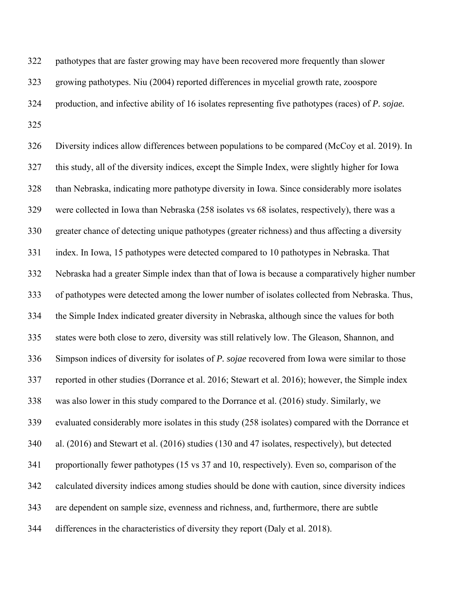322 pathotypes that are faster growing may have been recovered more frequently than slower 323 growing pathotypes. Niu (2004) reported differences in mycelial growth rate, zoospore 324 production, and infective ability of 16 isolates representing five pathotypes (races) of *P. sojae.*  325

326 Diversity indices allow differences between populations to be compared (McCoy et al. 2019). In 327 this study, all of the diversity indices, except the Simple Index, were slightly higher for Iowa 328 than Nebraska, indicating more pathotype diversity in Iowa. Since considerably more isolates 329 were collected in Iowa than Nebraska (258 isolates vs 68 isolates, respectively), there was a 330 greater chance of detecting unique pathotypes (greater richness) and thus affecting a diversity 331 index. In Iowa, 15 pathotypes were detected compared to 10 pathotypes in Nebraska. That 332 Nebraska had a greater Simple index than that of Iowa is because a comparatively higher number 333 of pathotypes were detected among the lower number of isolates collected from Nebraska. Thus, 334 the Simple Index indicated greater diversity in Nebraska, although since the values for both 335 states were both close to zero, diversity was still relatively low. The Gleason, Shannon, and 336 Simpson indices of diversity for isolates of *P. sojae* recovered from Iowa were similar to those 337 reported in other studies (Dorrance et al. 2016; Stewart et al. 2016); however, the Simple index 338 was also lower in this study compared to the Dorrance et al. (2016) study. Similarly, we 339 evaluated considerably more isolates in this study (258 isolates) compared with the Dorrance et 340 al. (2016) and Stewart et al. (2016) studies (130 and 47 isolates, respectively), but detected 341 proportionally fewer pathotypes (15 vs 37 and 10, respectively). Even so, comparison of the 342 calculated diversity indices among studies should be done with caution, since diversity indices 343 are dependent on sample size, evenness and richness, and, furthermore, there are subtle 344 differences in the characteristics of diversity they report (Daly et al. 2018).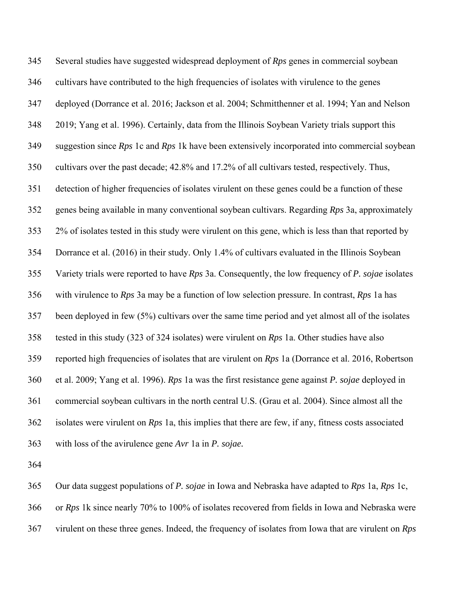345 Several studies have suggested widespread deployment of *Rps* genes in commercial soybean 346 cultivars have contributed to the high frequencies of isolates with virulence to the genes 347 deployed (Dorrance et al. 2016; Jackson et al. 2004; Schmitthenner et al. 1994; Yan and Nelson 348 2019; Yang et al. 1996). Certainly, data from the Illinois Soybean Variety trials support this 349 suggestion since *Rps* 1c and *Rps* 1k have been extensively incorporated into commercial soybean 350 cultivars over the past decade; 42.8% and 17.2% of all cultivars tested, respectively. Thus, 351 detection of higher frequencies of isolates virulent on these genes could be a function of these 352 genes being available in many conventional soybean cultivars. Regarding *Rps* 3a, approximately 353 2% of isolates tested in this study were virulent on this gene, which is less than that reported by 354 Dorrance et al. (2016) in their study. Only 1.4% of cultivars evaluated in the Illinois Soybean 355 Variety trials were reported to have *Rps* 3a. Consequently, the low frequency of *P. sojae* isolates 356 with virulence to *Rps* 3a may be a function of low selection pressure. In contrast, *Rps* 1a has 357 been deployed in few (5%) cultivars over the same time period and yet almost all of the isolates 358 tested in this study (323 of 324 isolates) were virulent on *Rps* 1a. Other studies have also 359 reported high frequencies of isolates that are virulent on *Rps* 1a (Dorrance et al. 2016, Robertson 360 et al. 2009; Yang et al. 1996). *Rps* 1a was the first resistance gene against *P. sojae* deployed in 361 commercial soybean cultivars in the north central U.S. (Grau et al. 2004). Since almost all the 362 isolates were virulent on *Rps* 1a, this implies that there are few, if any, fitness costs associated 363 with loss of the avirulence gene *Avr* 1a in *P. sojae.*

364

365 Our data suggest populations of *P. sojae* in Iowa and Nebraska have adapted to *Rps* 1a, *Rps* 1c, 366 or *Rps* 1k since nearly 70% to 100% of isolates recovered from fields in Iowa and Nebraska were 367 virulent on these three genes. Indeed, the frequency of isolates from Iowa that are virulent on *Rps*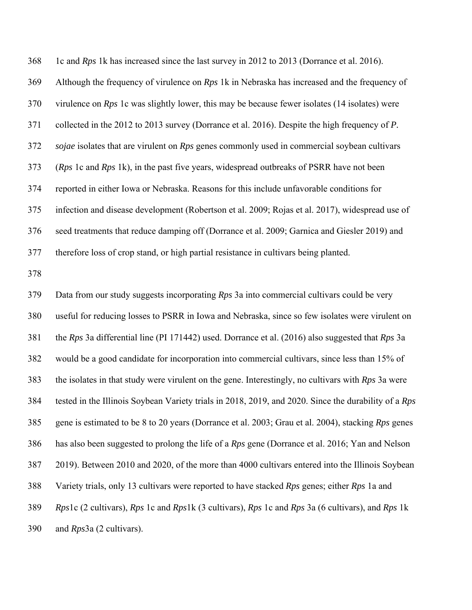368 1c and *Rps* 1k has increased since the last survey in 2012 to 2013 (Dorrance et al. 2016). 369 Although the frequency of virulence on *Rps* 1k in Nebraska has increased and the frequency of 370 virulence on *Rps* 1c was slightly lower, this may be because fewer isolates (14 isolates) were 371 collected in the 2012 to 2013 survey (Dorrance et al. 2016). Despite the high frequency of *P.*  372 *sojae* isolates that are virulent on *Rps* genes commonly used in commercial soybean cultivars 373 (*Rps* 1c and *Rps* 1k), in the past five years, widespread outbreaks of PSRR have not been 374 reported in either Iowa or Nebraska. Reasons for this include unfavorable conditions for 375 infection and disease development (Robertson et al. 2009; Rojas et al. 2017), widespread use of 376 seed treatments that reduce damping off (Dorrance et al. 2009; Garnica and Giesler 2019) and 377 therefore loss of crop stand, or high partial resistance in cultivars being planted.

378

379 Data from our study suggests incorporating *Rps* 3a into commercial cultivars could be very 380 useful for reducing losses to PSRR in Iowa and Nebraska, since so few isolates were virulent on 381 the *Rps* 3a differential line (PI 171442) used. Dorrance et al. (2016) also suggested that *Rps* 3a 382 would be a good candidate for incorporation into commercial cultivars, since less than 15% of 383 the isolates in that study were virulent on the gene. Interestingly, no cultivars with *Rps* 3a were 384 tested in the Illinois Soybean Variety trials in 2018, 2019, and 2020. Since the durability of a *Rps*  385 gene is estimated to be 8 to 20 years (Dorrance et al. 2003; Grau et al. 2004), stacking *Rps* genes 386 has also been suggested to prolong the life of a *Rps* gene (Dorrance et al. 2016; Yan and Nelson 387 2019). Between 2010 and 2020, of the more than 4000 cultivars entered into the Illinois Soybean 388 Variety trials, only 13 cultivars were reported to have stacked *Rps* genes; either *Rps* 1a and 389 *Rps*1c (2 cultivars), *Rps* 1c and *Rps*1k (3 cultivars), *Rps* 1c and *Rps* 3a (6 cultivars), and *Rps* 1k 390 and *Rps*3a (2 cultivars).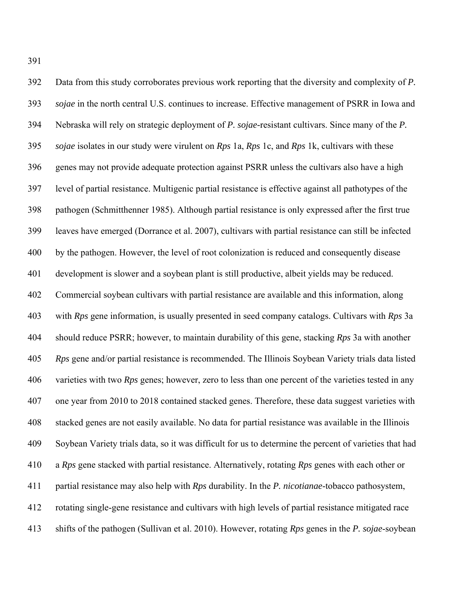392 Data from this study corroborates previous work reporting that the diversity and complexity of *P.*  393 *sojae* in the north central U.S. continues to increase. Effective management of PSRR in Iowa and 394 Nebraska will rely on strategic deployment of *P. sojae-*resistant cultivars. Since many of the *P.*  395 *sojae* isolates in our study were virulent on *Rps* 1a, *Rps* 1c, and *Rps* 1k, cultivars with these 396 genes may not provide adequate protection against PSRR unless the cultivars also have a high 397 level of partial resistance. Multigenic partial resistance is effective against all pathotypes of the 398 pathogen (Schmitthenner 1985). Although partial resistance is only expressed after the first true 399 leaves have emerged (Dorrance et al. 2007), cultivars with partial resistance can still be infected 400 by the pathogen. However, the level of root colonization is reduced and consequently disease 401 development is slower and a soybean plant is still productive, albeit yields may be reduced. 402 Commercial soybean cultivars with partial resistance are available and this information, along 403 with *Rps* gene information, is usually presented in seed company catalogs. Cultivars with *Rps* 3a 404 should reduce PSRR; however, to maintain durability of this gene, stacking *Rps* 3a with another 405 *Rps* gene and/or partial resistance is recommended. The Illinois Soybean Variety trials data listed 406 varieties with two *Rps* genes; however, zero to less than one percent of the varieties tested in any 407 one year from 2010 to 2018 contained stacked genes. Therefore, these data suggest varieties with 408 stacked genes are not easily available. No data for partial resistance was available in the Illinois 409 Soybean Variety trials data, so it was difficult for us to determine the percent of varieties that had 410 a *Rps* gene stacked with partial resistance. Alternatively, rotating *Rps* genes with each other or 411 partial resistance may also help with *Rps* durability. In the *P. nicotianae*-tobacco pathosystem, 412 rotating single-gene resistance and cultivars with high levels of partial resistance mitigated race 413 shifts of the pathogen (Sullivan et al. 2010). However, rotating *Rps* genes in the *P. sojae*-soybean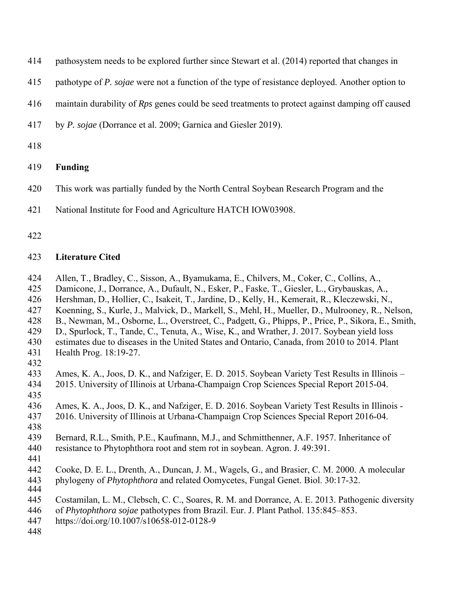- 414 pathosystem needs to be explored further since Stewart et al. (2014) reported that changes in
- 415 pathotype of *P. sojae* were not a function of the type of resistance deployed. Another option to
- 416 maintain durability of *Rps* genes could be seed treatments to protect against damping off caused
- 417 by *P. sojae* (Dorrance et al. 2009; Garnica and Giesler 2019).
- 418
- 419 **Funding**
- 420 This work was partially funded by the North Central Soybean Research Program and the
- 421 National Institute for Food and Agriculture HATCH IOW03908.
- 422

# 423 **Literature Cited**

- 424 Allen, T., Bradley, C., Sisson, A., Byamukama, E., Chilvers, M., Coker, C., Collins, A.,
- 425 Damicone, J., Dorrance, A., Dufault, N., Esker, P., Faske, T., Giesler, L., Grybauskas, A.,
- 426 Hershman, D., Hollier, C., Isakeit, T., Jardine, D., Kelly, H., Kemerait, R., Kleczewski, N.,
- 427 Koenning, S., Kurle, J., Malvick, D., Markell, S., Mehl, H., Mueller, D., Mulrooney, R., Nelson,
- 428 B., Newman, M., Osborne, L., Overstreet, C., Padgett, G., Phipps, P., Price, P., Sikora, E., Smith,
- 429 D., Spurlock, T., Tande, C., Tenuta, A., Wise, K., and Wrather, J. 2017. Soybean yield loss
- 430 estimates due to diseases in the United States and Ontario, Canada, from 2010 to 2014. Plant 431 Health Prog. 18:19-27.
- 432
- 433 Ames, K. A., Joos, D. K., and Nafziger, E. D. 2015. Soybean Variety Test Results in Illinois 434 2015. University of Illinois at Urbana-Champaign Crop Sciences Special Report 2015-04.
- 435
- 436 Ames, K. A., Joos, D. K., and Nafziger, E. D. 2016. Soybean Variety Test Results in Illinois -
- 437 2016. University of Illinois at Urbana-Champaign Crop Sciences Special Report 2016-04.
- 438
- 439 Bernard, R.L., Smith, P.E., Kaufmann, M.J., and Schmitthenner, A.F. 1957. Inheritance of
- 440 resistance to Phytophthora root and stem rot in soybean. Agron. J. 49:391.
- 441
- 442 Cooke, D. E. L., Drenth, A., Duncan, J. M., Wagels, G., and Brasier, C. M. 2000. A molecular
- 443 phylogeny of *Phytophthora* and related Oomycetes, Fungal Genet. Biol. 30:17-32.
- 444
- 445 Costamilan, L. M., Clebsch, C. C., Soares, R. M. and Dorrance, A. E. 2013. Pathogenic diversity
- 446 of *Phytophthora sojae* pathotypes from Brazil. Eur. J. Plant Pathol. 135:845–853.
- 447 https://doi.org/10.1007/s10658-012-0128-9
- 448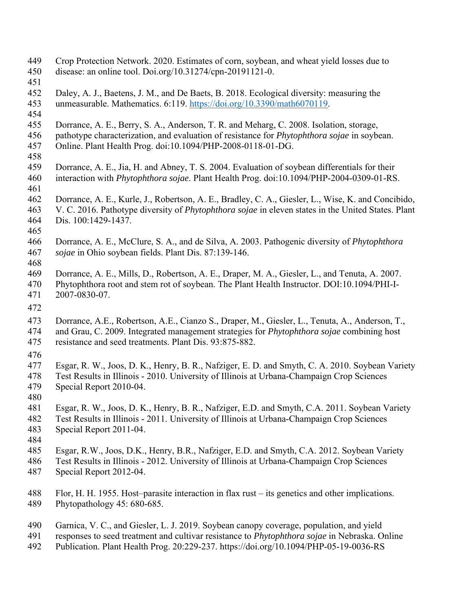- 449 Crop Protection Network. 2020. Estimates of corn, soybean, and wheat yield losses due to
- 450 disease: an online tool. Doi.org/10.31274/cpn-20191121-0.
- 451
- 452 Daley, A. J., Baetens, J. M., and De Baets, B. 2018. Ecological diversity: measuring the
- 453 unmeasurable. Mathematics. 6:119. https://doi.org/10.3390/math6070119.
- 454
- 455 Dorrance, A. E., Berry, S. A., Anderson, T. R. and Meharg, C. 2008. Isolation, storage,
- 456 pathotype characterization, and evaluation of resistance for *Phytophthora sojae* in soybean. 457 Online. Plant Health Prog. doi:10.1094/PHP-2008-0118-01-DG.
- 458
- 459 Dorrance, A. E., Jia, H. and Abney, T. S. 2004. Evaluation of soybean differentials for their 460 interaction with *Phytophthora sojae*. Plant Health Prog. doi:10.1094/PHP-2004-0309-01-RS.
- 461
- 462 Dorrance, A. E., Kurle, J., Robertson, A. E., Bradley, C. A., Giesler, L., Wise, K. and Concibido,
- 463 V. C. 2016. Pathotype diversity of *Phytophthora sojae* in eleven states in the United States. Plant
- 464 Dis. 100:1429-1437. 465
- 466 Dorrance, A. E., McClure, S. A., and de Silva, A. 2003. Pathogenic diversity of *Phytophthora*  467 *sojae* in Ohio soybean fields. Plant Dis. 87:139-146.
- 468
- 469 Dorrance, A. E., Mills, D., Robertson, A. E., Draper, M. A., Giesler, L., and Tenuta, A. 2007. 470 Phytophthora root and stem rot of soybean. The Plant Health Instructor. DOI:10.1094/PHI-I-471 2007-0830-07.
- 472
- 473 Dorrance, A.E., Robertson, A.E., Cianzo S., Draper, M., Giesler, L., Tenuta, A., Anderson, T.,
- 474 and Grau, C. 2009. Integrated management strategies for *Phytophthora sojae* combining host
- 475 resistance and seed treatments. Plant Dis. 93:875-882.
- 476
- 477 Esgar, R. W., Joos, D. K., Henry, B. R., Nafziger, E. D. and Smyth, C. A. 2010. Soybean Variety
- 478 Test Results in Illinois 2010. University of Illinois at Urbana-Champaign Crop Sciences 479 Special Report 2010-04.
- 480
- 481 Esgar, R. W., Joos, D. K., Henry, B. R., Nafziger, E.D. and Smyth, C.A. 2011. Soybean Variety
- 482 Test Results in Illinois 2011. University of Illinois at Urbana-Champaign Crop Sciences 483 Special Report 2011-04.
- 484
- 485 Esgar, R.W., Joos, D.K., Henry, B.R., Nafziger, E.D. and Smyth, C.A. 2012. Soybean Variety
- 486 Test Results in Illinois 2012. University of Illinois at Urbana-Champaign Crop Sciences
- 487 Special Report 2012-04.
- 488 Flor, H. H. 1955. Host–parasite interaction in flax rust its genetics and other implications. 489 Phytopathology 45: 680-685.
- 490 Garnica, V. C., and Giesler, L. J. 2019. Soybean canopy coverage, population, and yield
- 491 responses to seed treatment and cultivar resistance to *Phytophthora sojae* in Nebraska. Online
- 492 Publication. Plant Health Prog. 20:229-237. https://doi.org/10.1094/PHP-05-19-0036-RS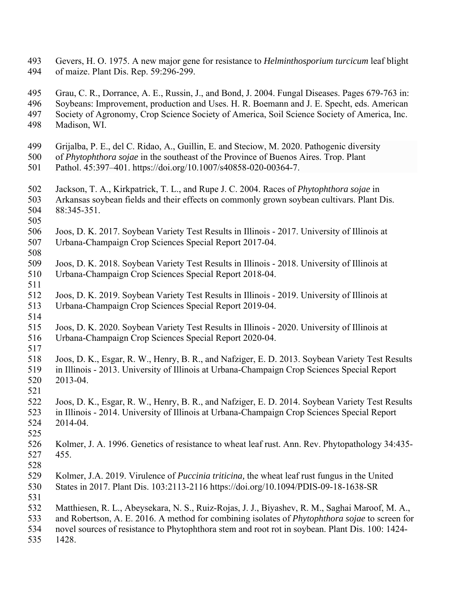- 493 Gevers, H. O. 1975. A new major gene for resistance to *Helminthosporium turcicum* leaf blight 494 of maize. Plant Dis. Rep. 59:296-299.
- 495 Grau, C. R., Dorrance, A. E., Russin, J., and Bond, J. 2004. Fungal Diseases. Pages 679-763 in: 496 Soybeans: Improvement, production and Uses. H. R. Boemann and J. E. Specht, eds. American 497 Society of Agronomy, Crop Science Society of America, Soil Science Society of America, Inc. 498 Madison, WI.
- 499 Grijalba, P. E., del C. Ridao, A., Guillin, E. and Steciow, M. 2020. Pathogenic diversity
- 500 of *Phytophthora sojae* in the southeast of the Province of Buenos Aires. Trop. Plant
- 501 Pathol. 45:397–401. https://doi.org/10.1007/s40858-020-00364-7.
- 502 Jackson, T. A., Kirkpatrick, T. L., and Rupe J. C. 2004. Races of *Phytophthora sojae* in
- 503 Arkansas soybean fields and their effects on commonly grown soybean cultivars. Plant Dis. 504 88:345-351.
- 505
- 506 Joos, D. K. 2017. Soybean Variety Test Results in Illinois 2017. University of Illinois at 507 Urbana-Champaign Crop Sciences Special Report 2017-04.
- 509 Joos, D. K. 2018. Soybean Variety Test Results in Illinois 2018. University of Illinois at 510 Urbana-Champaign Crop Sciences Special Report 2018-04.
- 511

521

- 512 Joos, D. K. 2019. Soybean Variety Test Results in Illinois 2019. University of Illinois at 513 Urbana-Champaign Crop Sciences Special Report 2019-04.
- 514
- 515 Joos, D. K. 2020. Soybean Variety Test Results in Illinois 2020. University of Illinois at 516 Urbana-Champaign Crop Sciences Special Report 2020-04.
- 518 Joos, D. K., Esgar, R. W., Henry, B. R., and Nafziger, E. D. 2013. Soybean Variety Test Results 519 in Illinois - 2013. University of Illinois at Urbana-Champaign Crop Sciences Special Report 520 2013-04.
- 522 Joos, D. K., Esgar, R. W., Henry, B. R., and Nafziger, E. D. 2014. Soybean Variety Test Results 523 in Illinois - 2014. University of Illinois at Urbana-Champaign Crop Sciences Special Report 524 2014-04.
- 525
- 526 Kolmer, J. A. 1996. Genetics of resistance to wheat leaf rust. Ann. Rev. Phytopathology 34:435- 527 455.
- 528
- 529 Kolmer, J.A. 2019. Virulence of *Puccinia triticina,* the wheat leaf rust fungus in the United
- 530 States in 2017. Plant Dis. 103:2113-2116 https://doi.org/10.1094/PDIS-09-18-1638-SR
- 531
- 532 Matthiesen, R. L., Abeysekara, N. S., Ruiz-Rojas, J. J., Biyashev, R. M., Saghai Maroof, M. A.,
- 533 and Robertson, A. E. 2016. A method for combining isolates of *Phytophthora sojae* to screen for
- 534 novel sources of resistance to Phytophthora stem and root rot in soybean. Plant Dis. 100: 1424-
- 535 1428.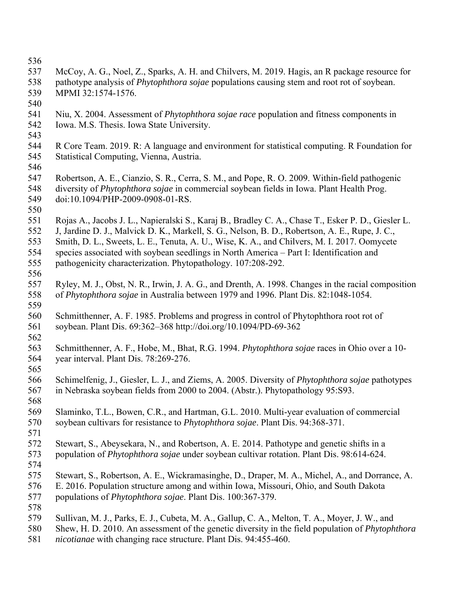- 536
- 537 McCoy, A. G., Noel, Z., Sparks, A. H. and Chilvers, M. 2019. Hagis, an R package resource for
- 538 pathotype analysis of *Phytophthora sojae* populations causing stem and root rot of soybean.
- 539 MPMI 32:1574-1576.
- 540
- 541 Niu, X. 2004. Assessment of *Phytophthora sojae race* population and fitness components in 542 Iowa. M.S. Thesis. Iowa State University.
- 543
- 544 R Core Team. 2019. R: A language and environment for statistical computing. R Foundation for 545 Statistical Computing, Vienna, Austria.
- 546
- 547 Robertson, A. E., Cianzio, S. R., Cerra, S. M., and Pope, R. O. 2009. Within-field pathogenic 548 diversity of *Phytophthora sojae* in commercial soybean fields in Iowa. Plant Health Prog. 549 doi:10.1094/PHP-2009-0908-01-RS.
- 550
- 551 Rojas A., Jacobs J. L., Napieralski S., Karaj B., Bradley C. A., Chase T., Esker P. D., Giesler L.
- 552 J, Jardine D. J., Malvick D. K., Markell, S. G., Nelson, B. D., Robertson, A. E., Rupe, J. C.,
- 553 Smith, D. L., Sweets, L. E., Tenuta, A. U., Wise, K. A., and Chilvers, M. I. 2017. Oomycete
- 554 species associated with soybean seedlings in North America Part I: Identification and 555 pathogenicity characterization. Phytopathology. 107:208-292.
- 556
- 557 Ryley, M. J., Obst, N. R., Irwin, J. A. G., and Drenth, A. 1998. Changes in the racial composition 558 of *Phytophthora sojae* in Australia between 1979 and 1996. Plant Dis. 82:1048-1054.
- 559 560 Schmitthenner, A. F. 1985. Problems and progress in control of Phytophthora root rot of 561 soybean. Plant Dis. 69:362–368 http://doi.org/10.1094/PD‐69‐362
- 562
- 563 Schmitthenner, A. F., Hobe, M., Bhat, R.G. 1994. *Phytophthora sojae* races in Ohio over a 10- 564 year interval. Plant Dis. 78:269-276.
- 565
- 566 Schimelfenig, J., Giesler, L. J., and Ziems, A. 2005. Diversity of *Phytophthora sojae* pathotypes 567 in Nebraska soybean fields from 2000 to 2004. (Abstr.). Phytopathology 95:S93.
- 568
- 569 Slaminko, T.L., Bowen, C.R., and Hartman, G.L. 2010. Multi-year evaluation of commercial 570 soybean cultivars for resistance to *Phytophthora sojae*. Plant Dis. 94:368-371.
- 571
- 572 Stewart, S., Abeysekara, N., and Robertson, A. E. 2014. Pathotype and genetic shifts in a 573 population of *Phytophthora sojae* under soybean cultivar rotation. Plant Dis. 98:614-624.
- 574
- 575 Stewart, S., Robertson, A. E., Wickramasinghe, D., Draper, M. A., Michel, A., and Dorrance, A.
- 576 E. 2016. Population structure among and within Iowa, Missouri, Ohio, and South Dakota
- 577 populations of *Phytophthora sojae*. Plant Dis. 100:367-379.
- 578
- 579 Sullivan, M. J., Parks, E. J., Cubeta, M. A., Gallup, C. A., Melton, T. A., Moyer, J. W., and
- 580 Shew, H. D. 2010. An assessment of the genetic diversity in the field population of *Phytophthora*
- 581 *nicotianae* with changing race structure. Plant Dis. 94:455-460.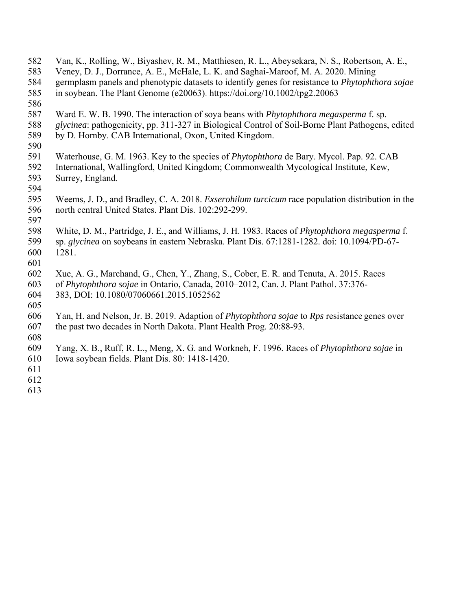- 582 Van, K., Rolling, W., Biyashev, R. M., Matthiesen, R. L., Abeysekara, N. S., Robertson, A. E.,
- 583 Veney, D. J., Dorrance, A. E., McHale, L. K. and Saghai-Maroof, M. A. 2020. Mining
- 584 germplasm panels and phenotypic datasets to identify genes for resistance to *Phytophthora sojae*
- 585 in soybean. The Plant Genome (e20063). https://doi.org/10.1002/tpg2.20063
- 586
- 587 Ward E. W. B. 1990. The interaction of soya beans with *Phytophthora megasperma* f. sp.
- 588 *glycinea*: pathogenicity, pp. 311-327 in Biological Control of Soil-Borne Plant Pathogens, edited 589 by D. Hornby. CAB International, Oxon, United Kingdom.
- 
- 590
- 591 Waterhouse, G. M. 1963. Key to the species of *Phytophthora* de Bary. Mycol. Pap. 92. CAB 592 International, Wallingford, United Kingdom; Commonwealth Mycological Institute, Kew, 593 Surrey, England.
- 594
- 595 Weems, J. D., and Bradley, C. A. 2018. *Exserohilum turcicum* race population distribution in the 596 north central United States. Plant Dis. 102:292-299.
- 597

598 White, D. M., Partridge, J. E., and Williams, J. H. 1983. Races of *Phytophthora megasperma* f. 599 sp. *glycinea* on soybeans in eastern Nebraska. Plant Dis. 67:1281-1282. doi: 10.1094/PD-67- 600 1281.

- 601
- 602 Xue, A. G., Marchand, G., Chen, Y., Zhang, S., Cober, E. R. and Tenuta, A. 2015. Races
- 603 of *Phytophthora sojae* in Ontario, Canada, 2010–2012, Can. J. Plant Pathol. 37:376- 604 383, DOI: 10.1080/07060661.2015.1052562
- 605
- 606 Yan, H. and Nelson, Jr. B. 2019. Adaption of *Phytophthora sojae* to *Rps* resistance genes over 607 the past two decades in North Dakota. Plant Health Prog. 20:88-93.
- 608
- 609 Yang, X. B., Ruff, R. L., Meng, X. G. and Workneh, F. 1996. Races of *Phytophthora sojae* in
- 610 Iowa soybean fields. Plant Dis. 80: 1418-1420.
- 611
- 612 613
-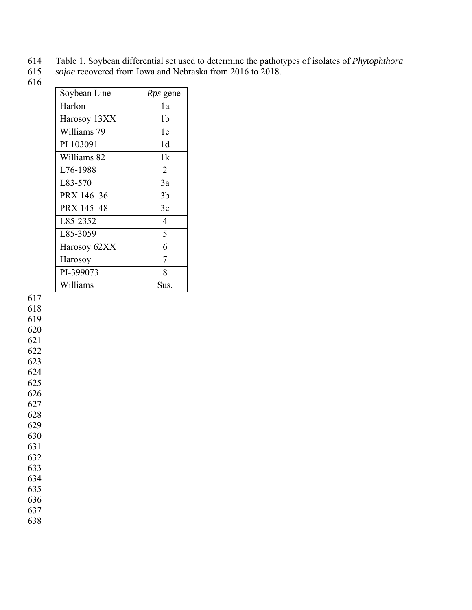- 614 Table 1. Soybean differential set used to determine the pathotypes of isolates of *Phytophthora*
- sojae recovered from Iowa and Nebraska from 2016 to 2018.
- 616

| Soybean Line | <i>Rps</i> gene |
|--------------|-----------------|
| Harlon       | 1a              |
| Harosoy 13XX | 1b              |
| Williams 79  | 1c              |
| PI 103091    | 1d              |
| Williams 82  | 1k              |
| L76-1988     | $\overline{2}$  |
| L83-570      | 3a              |
| PRX 146-36   | 3 <sub>b</sub>  |
| PRX 145-48   | 3c              |
| L85-2352     | $\overline{4}$  |
| L85-3059     | 5               |
| Harosoy 62XX | 6               |
| Harosoy      | 7               |
| PI-399073    | 8               |
| Williams     | Sus.            |

618

619

620 621

622

623

624

625 626

627

628

629 630

631

632

633

634

635 636

637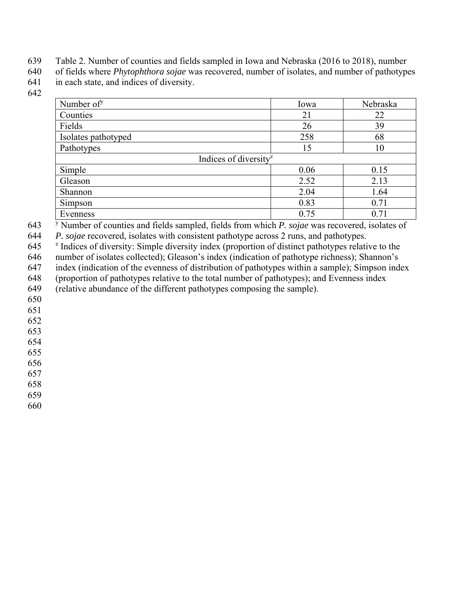639 Table 2. Number of counties and fields sampled in Iowa and Nebraska (2016 to 2018), number

640 of fields where *Phytophthora sojae* was recovered, number of isolates, and number of pathotypes 641 in each state, and indices of diversity.

642

| Number of <sup>y</sup>            | Iowa | Nebraska |  |  |
|-----------------------------------|------|----------|--|--|
| Counties                          | 21   | 22       |  |  |
| Fields                            | 26   | 39       |  |  |
| Isolates pathotyped               | 258  | 68       |  |  |
| Pathotypes                        | 15   | 10       |  |  |
| Indices of diversity <sup>2</sup> |      |          |  |  |
| Simple                            | 0.06 | 0.15     |  |  |
| Gleason                           | 2.52 | 2.13     |  |  |
| Shannon                           | 2.04 | 1.64     |  |  |
| Simpson                           | 0.83 | 0.71     |  |  |
| Evenness                          | 0.75 | 0.71     |  |  |

<sup>y</sup> 643 Number of counties and fields sampled, fields from which *P. sojae* was recovered, isolates of

*P. sojae* recovered, isolates with consistent pathotype across 2 runs, and pathotypes.<br>645 <sup>z</sup> Indices of diversity: Simple diversity index (proportion of distinct pathotypes relative to the

646 number of isolates collected); Gleason's index (indication of pathotype richness); Shannon's

647 index (indication of the evenness of distribution of pathotypes within a sample); Simpson index

648 (proportion of pathotypes relative to the total number of pathotypes); and Evenness index (relative abundance of the different pathotypes composing the sample).

649 (relative abundance of the different pathotypes composing the sample).

650

651

652

653

654

655 656

657

658

659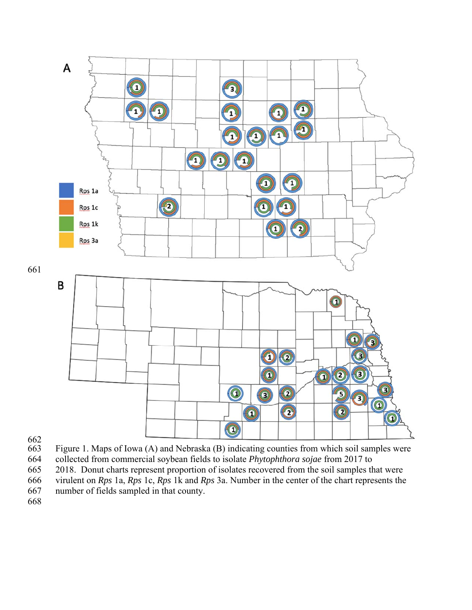

662<br>663

Figure 1. Maps of Iowa (A) and Nebraska (B) indicating counties from which soil samples were

664 collected from commercial soybean fields to isolate *Phytophthora sojae* from 2017 to

665 2018. Donut charts represent proportion of isolates recovered from the soil samples that were 666 virulent on *Rps* 1a, *Rps* 1c, *Rps* 1k and *Rps* 3a. Number in the center of the chart represents the 667 number of fields sampled in that county.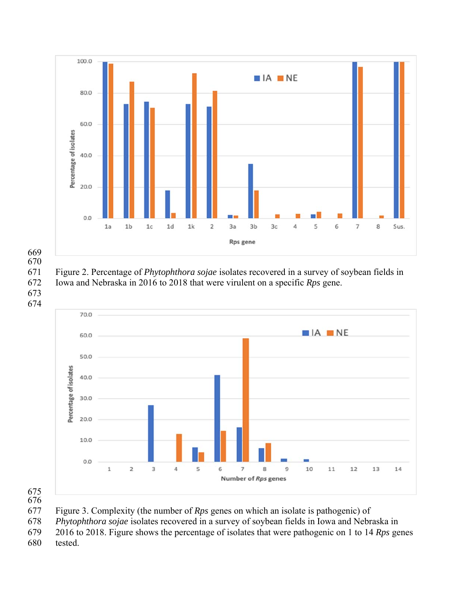

674

671 Figure 2. Percentage of *Phytophthora sojae* isolates recovered in a survey of soybean fields in 672 Iowa and Nebraska in 2016 to 2018 that were virulent on a specific *Rps* gene. 673



675 676

677 Figure 3. Complexity (the number of *Rps* genes on which an isolate is pathogenic) of

678 *Phytophthora sojae* isolates recovered in a survey of soybean fields in Iowa and Nebraska in

679 2016 to 2018. Figure shows the percentage of isolates that were pathogenic on 1 to 14 *Rps* genes

680 tested.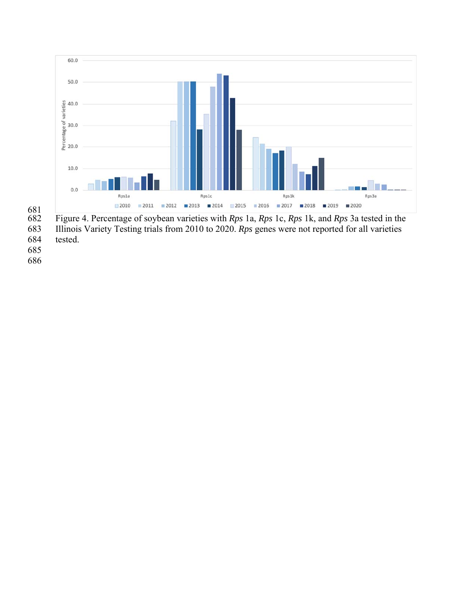

681 682 Figure 4. Percentage of soybean varieties with *Rps* 1a, *Rps* 1c, *Rps* 1k, and *Rps* 3a tested in the 683 Illinois Variety Testing trials from 2010 to 2020. *Rps* genes were not reported for all varieties

- tested.
- 685
- 686
-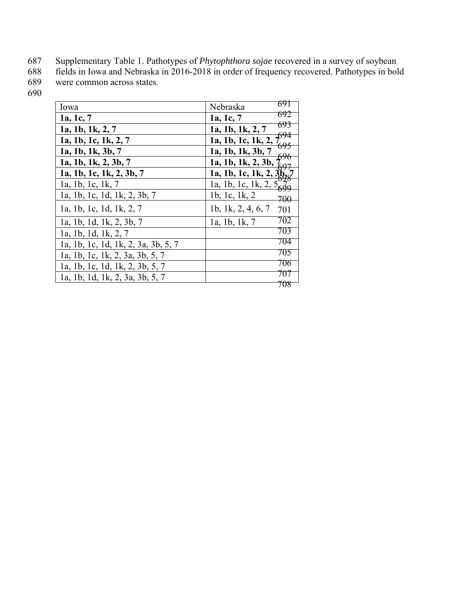- 687 Supplementary Table 1. Pathotypes of *Phytophthora sojae* recovered in a survey of soybean
- 688 fields in Iowa and Nebraska in 2016-2018 in order of frequency recovered. Pathotypes in bold 689 were common across states.
- 690

| Iowa                                | 691<br>Nebraska           |
|-------------------------------------|---------------------------|
| 1a, 1c, 7                           | 692<br>1a, 1c, 7          |
| 1a, 1b, 1k, 2, 7                    | 693<br>1a, 1b, 1k, 2, 7   |
| 1a, 1b, 1c, 1k, 2, 7                | 1a, 1b, 1c, 1k, 2,        |
| 1a, 1b, 1k, 3b, 7                   | 1a, 1b, 1k, 3b, 7         |
| 1a, 1b, 1k, 2, 3b, 7                | 1a, 1b, 1k, 2, 3b,        |
| 1a, 1b, 1c, 1k, 2, 3b, 7            | 1a, 1b, 1c, 1k, 2, 3h,    |
| la, 1b, 1c, 1k, 7                   | la, 1b, 1c, 1k, 2, 5      |
| 1a, 1b, 1c, 1d, 1k, 2, 3b, 7        | 1b, 1c, 1k, 2<br>700      |
| 1a, 1b, 1c, 1d, 1k, 2, 7            | 1b, 1k, 2, 4, 6, 7<br>701 |
| 1a, 1b, 1d, 1k, 2, 3b, 7            | 702<br>1a, 1b, 1k, 7      |
| la, 1b, 1d, 1k, 2, 7                | 703                       |
| 1a, 1b, 1c, 1d, 1k, 2, 3a, 3b, 5, 7 | 704                       |
| 1a, 1b, 1c, 1k, 2, 3a, 3b, 5, 7     | 705                       |
| 1a, 1b, 1c, 1d, 1k, 2, 3b, 5, 7     | 706                       |
| la, 1b, 1d, 1k, 2, 3a, 3b, 5, 7     |                           |
|                                     |                           |